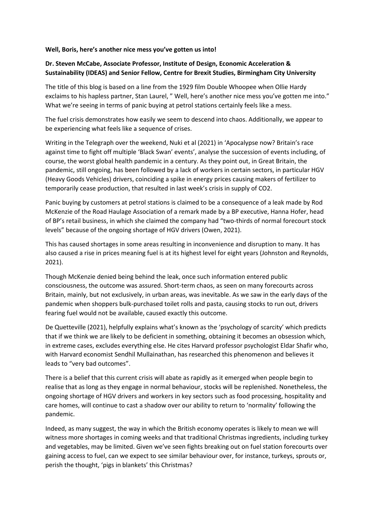## **Well, Boris, here's another nice mess you've gotten us into!**

## **Dr. Steven McCabe, Associate Professor, Institute of Design, Economic Acceleration & Sustainability (IDEAS) and Senior Fellow, Centre for Brexit Studies, Birmingham City University**

The title of this blog is based on a line from the 1929 film Double Whoopee when Ollie Hardy exclaims to his hapless partner, Stan Laurel, " Well, here's another nice mess you've gotten me into." What we're seeing in terms of panic buying at petrol stations certainly feels like a mess.

The fuel crisis demonstrates how easily we seem to descend into chaos. Additionally, we appear to be experiencing what feels like a sequence of crises.

Writing in the Telegraph over the weekend, Nuki et al (2021) in 'Apocalypse now? Britain's race against time to fight off multiple 'Black Swan' events', analyse the succession of events including, of course, the worst global health pandemic in a century. As they point out, in Great Britain, the pandemic, still ongoing, has been followed by a lack of workers in certain sectors, in particular HGV (Heavy Goods Vehicles) drivers, coinciding a spike in energy prices causing makers of fertilizer to temporarily cease production, that resulted in last week's crisis in supply of CO2.

Panic buying by customers at petrol stations is claimed to be a consequence of a leak made by Rod McKenzie of the Road Haulage Association of a remark made by a BP executive, Hanna Hofer, head of BP's retail business, in which she claimed the company had "two-thirds of normal forecourt stock levels" because of the ongoing shortage of HGV drivers (Owen, 2021).

This has caused shortages in some areas resulting in inconvenience and disruption to many. It has also caused a rise in prices meaning fuel is at its highest level for eight years (Johnston and Reynolds, 2021).

Though McKenzie denied being behind the leak, once such information entered public consciousness, the outcome was assured. Short-term chaos, as seen on many forecourts across Britain, mainly, but not exclusively, in urban areas, was inevitable. As we saw in the early days of the pandemic when shoppers bulk-purchased toilet rolls and pasta, causing stocks to run out, drivers fearing fuel would not be available, caused exactly this outcome.

De Quetteville (2021), helpfully explains what's known as the 'psychology of scarcity' which predicts that if we think we are likely to be deficient in something, obtaining it becomes an obsession which, in extreme cases, excludes everything else. He cites Harvard professor psychologist Eldar Shafir who, with Harvard economist Sendhil Mullainathan, has researched this phenomenon and believes it leads to "very bad outcomes".

There is a belief that this current crisis will abate as rapidly as it emerged when people begin to realise that as long as they engage in normal behaviour, stocks will be replenished. Nonetheless, the ongoing shortage of HGV drivers and workers in key sectors such as food processing, hospitality and care homes, will continue to cast a shadow over our ability to return to 'normality' following the pandemic.

Indeed, as many suggest, the way in which the British economy operates is likely to mean we will witness more shortages in coming weeks and that traditional Christmas ingredients, including turkey and vegetables, may be limited. Given we've seen fights breaking out on fuel station forecourts over gaining access to fuel, can we expect to see similar behaviour over, for instance, turkeys, sprouts or, perish the thought, 'pigs in blankets' this Christmas?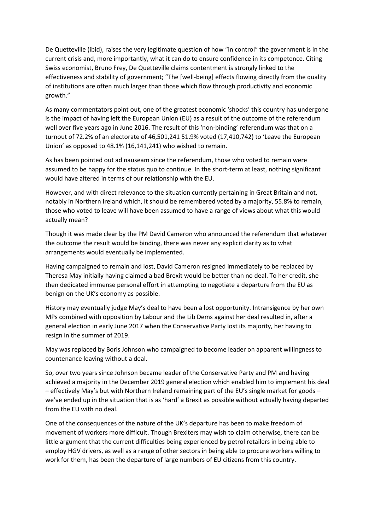De Quetteville (ibid), raises the very legitimate question of how "in control" the government is in the current crisis and, more importantly, what it can do to ensure confidence in its competence. Citing Swiss economist, Bruno Frey, De Quetteville claims contentment is strongly linked to the effectiveness and stability of government; "The [well-being] effects flowing directly from the quality of institutions are often much larger than those which flow through productivity and economic growth."

As many commentators point out, one of the greatest economic 'shocks' this country has undergone is the impact of having left the European Union (EU) as a result of the outcome of the referendum well over five years ago in June 2016. The result of this 'non-binding' referendum was that on a turnout of 72.2% of an electorate of 46,501,241 51.9% voted (17,410,742) to 'Leave the European Union' as opposed to 48.1% (16,141,241) who wished to remain.

As has been pointed out ad nauseam since the referendum, those who voted to remain were assumed to be happy for the status quo to continue. In the short-term at least, nothing significant would have altered in terms of our relationship with the EU.

However, and with direct relevance to the situation currently pertaining in Great Britain and not, notably in Northern Ireland which, it should be remembered voted by a majority, 55.8% to remain, those who voted to leave will have been assumed to have a range of views about what this would actually mean?

Though it was made clear by the PM David Cameron who announced the referendum that whatever the outcome the result would be binding, there was never any explicit clarity as to what arrangements would eventually be implemented.

Having campaigned to remain and lost, David Cameron resigned immediately to be replaced by Theresa May initially having claimed a bad Brexit would be better than no deal. To her credit, she then dedicated immense personal effort in attempting to negotiate a departure from the EU as benign on the UK's economy as possible.

History may eventually judge May's deal to have been a lost opportunity. Intransigence by her own MPs combined with opposition by Labour and the Lib Dems against her deal resulted in, after a general election in early June 2017 when the Conservative Party lost its majority, her having to resign in the summer of 2019.

May was replaced by Boris Johnson who campaigned to become leader on apparent willingness to countenance leaving without a deal.

So, over two years since Johnson became leader of the Conservative Party and PM and having achieved a majority in the December 2019 general election which enabled him to implement his deal – effectively May's but with Northern Ireland remaining part of the EU's single market for goods – we've ended up in the situation that is as 'hard' a Brexit as possible without actually having departed from the EU with no deal.

One of the consequences of the nature of the UK's departure has been to make freedom of movement of workers more difficult. Though Brexiters may wish to claim otherwise, there can be little argument that the current difficulties being experienced by petrol retailers in being able to employ HGV drivers, as well as a range of other sectors in being able to procure workers willing to work for them, has been the departure of large numbers of EU citizens from this country.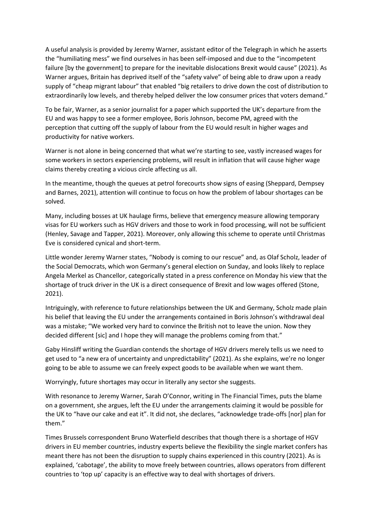A useful analysis is provided by Jeremy Warner, assistant editor of the Telegraph in which he asserts the "humiliating mess" we find ourselves in has been self-imposed and due to the "incompetent failure [by the government] to prepare for the inevitable dislocations Brexit would cause" (2021). As Warner argues, Britain has deprived itself of the "safety valve" of being able to draw upon a ready supply of "cheap migrant labour" that enabled "big retailers to drive down the cost of distribution to extraordinarily low levels, and thereby helped deliver the low consumer prices that voters demand."

To be fair, Warner, as a senior journalist for a paper which supported the UK's departure from the EU and was happy to see a former employee, Boris Johnson, become PM, agreed with the perception that cutting off the supply of labour from the EU would result in higher wages and productivity for native workers.

Warner is not alone in being concerned that what we're starting to see, vastly increased wages for some workers in sectors experiencing problems, will result in inflation that will cause higher wage claims thereby creating a vicious circle affecting us all.

In the meantime, though the queues at petrol forecourts show signs of easing (Sheppard, Dempsey and Barnes, 2021), attention will continue to focus on how the problem of labour shortages can be solved.

Many, including bosses at UK haulage firms, believe that emergency measure allowing temporary visas for EU workers such as HGV drivers and those to work in food processing, will not be sufficient (Henley, Savage and Tapper, 2021). Moreover, only allowing this scheme to operate until Christmas Eve is considered cynical and short-term.

Little wonder Jeremy Warner states, "Nobody is coming to our rescue" and, as Olaf Scholz, leader of the Social Democrats, which won Germany's general election on Sunday, and looks likely to replace Angela Merkel as Chancellor, categorically stated in a press conference on Monday his view that the shortage of truck driver in the UK is a direct consequence of Brexit and low wages offered (Stone, 2021).

Intriguingly, with reference to future relationships between the UK and Germany, Scholz made plain his belief that leaving the EU under the arrangements contained in Boris Johnson's withdrawal deal was a mistake; "We worked very hard to convince the British not to leave the union. Now they decided different [sic] and I hope they will manage the problems coming from that."

Gaby Hinsliff writing the Guardian contends the shortage of HGV drivers merely tells us we need to get used to "a new era of uncertainty and unpredictability" (2021). As she explains, we're no longer going to be able to assume we can freely expect goods to be available when we want them.

Worryingly, future shortages may occur in literally any sector she suggests.

With resonance to Jeremy Warner, Sarah O'Connor, writing in The Financial Times, puts the blame on a government, she argues, left the EU under the arrangements claiming it would be possible for the UK to "have our cake and eat it". It did not, she declares, "acknowledge trade-offs [nor] plan for them."

Times Brussels correspondent Bruno Waterfield describes that though there is a shortage of HGV drivers in EU member countries, industry experts believe the flexibility the single market confers has meant there has not been the disruption to supply chains experienced in this country (2021). As is explained, 'cabotage', the ability to move freely between countries, allows operators from different countries to 'top up' capacity is an effective way to deal with shortages of drivers.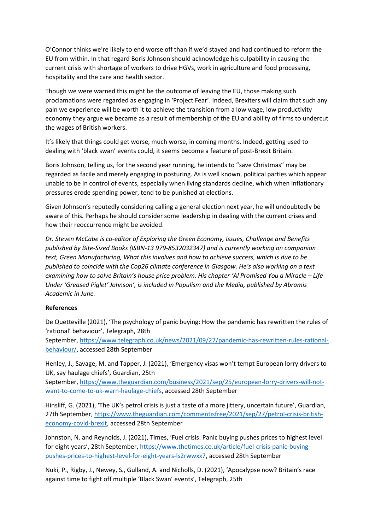O'Connor thinks we're likely to end worse off than if we'd stayed and had continued to reform the EU from within. In that regard Boris Johnson should acknowledge his culpability in causing the current crisis with shortage of workers to drive HGVs, work in agriculture and food processing, hospitality and the care and health sector.

Though we were warned this might be the outcome of leaving the EU, those making such proclamations were regarded as engaging in 'Project Fear'. Indeed, Brexiters will claim that such any pain we experience will be worth it to achieve the transition from a low wage, low productivity economy they argue we became as a result of membership of the EU and ability of firms to undercut the wages of British workers.

It's likely that things could get worse, much worse, in coming months. Indeed, getting used to dealing with 'black swan' events could, it seems become a feature of post-Brexit Britain.

Boris Johnson, telling us, for the second year running, he intends to "save Christmas" may be regarded as facile and merely engaging in posturing. As is well known, political parties which appear unable to be in control of events, especially when living standards decline, which when inflationary pressures erode spending power, tend to be punished at elections.

Given Johnson's reputedly considering calling a general election next year, he will undoubtedly be aware of this. Perhaps he should consider some leadership in dealing with the current crises and how their reoccurrence might be avoided.

*Dr. Steven McCabe is co-editor of Exploring the Green Economy, Issues, Challenge and Benefits published by Bite-Sized Books (ISBN-13 979-8532032347) and is currently working on companion text, Green Manufacturing, What this involves and how to achieve success, which is due to be published to coincide with the Cop26 climate conference in Glasgow. He's also working on a text examining how to solve Britain's house price problem. His chapter 'Al Promised You a Miracle – Life Under 'Greased Piglet' Johnson', is included in Populism and the Media, published by Abramis Academic in June.*

## **References**

De Quetteville (2021), 'The psychology of panic buying: How the pandemic has rewritten the rules of 'rational' behaviour', Telegraph, 28th

September, [https://www.telegraph.co.uk/news/2021/09/27/pandemic-has-rewritten-rules-rational](https://www.telegraph.co.uk/news/2021/09/27/pandemic-has-rewritten-rules-rational-behaviour/)[behaviour/,](https://www.telegraph.co.uk/news/2021/09/27/pandemic-has-rewritten-rules-rational-behaviour/) accessed 28th September

Henley, J., Savage, M. and Tapper, J. (2021), 'Emergency visas won't tempt European lorry drivers to UK, say haulage chiefs', Guardian, 25th

September, [https://www.theguardian.com/business/2021/sep/25/european-lorry-drivers-will-not](https://www.theguardian.com/business/2021/sep/25/european-lorry-drivers-will-not-want-to-come-to-uk-warn-haulage-chiefs)[want-to-come-to-uk-warn-haulage-chiefs,](https://www.theguardian.com/business/2021/sep/25/european-lorry-drivers-will-not-want-to-come-to-uk-warn-haulage-chiefs) accessed 28th September

Hinsliff, G. (2021), 'The UK's petrol crisis is just a taste of a more jittery, uncertain future', Guardian, 27th September, [https://www.theguardian.com/commentisfree/2021/sep/27/petrol-crisis-british](https://www.theguardian.com/commentisfree/2021/sep/27/petrol-crisis-british-economy-covid-brexit)[economy-covid-brexit,](https://www.theguardian.com/commentisfree/2021/sep/27/petrol-crisis-british-economy-covid-brexit) accessed 28th September

Johnston, N. and Reynolds, J. (2021), Times, 'Fuel crisis: Panic buying pushes prices to highest level for eight years', 28th September, [https://www.thetimes.co.uk/article/fuel-crisis-panic-buying](https://www.thetimes.co.uk/article/fuel-crisis-panic-buying-pushes-prices-to-highest-level-for-eight-years-ls2rwwxx7)[pushes-prices-to-highest-level-for-eight-years-ls2rwwxx7,](https://www.thetimes.co.uk/article/fuel-crisis-panic-buying-pushes-prices-to-highest-level-for-eight-years-ls2rwwxx7) accessed 28th September

Nuki, P., Rigby, J., Newey, S., Gulland, A. and Nicholls, D. (2021), 'Apocalypse now? Britain's race against time to fight off multiple 'Black Swan' events', Telegraph, 25th